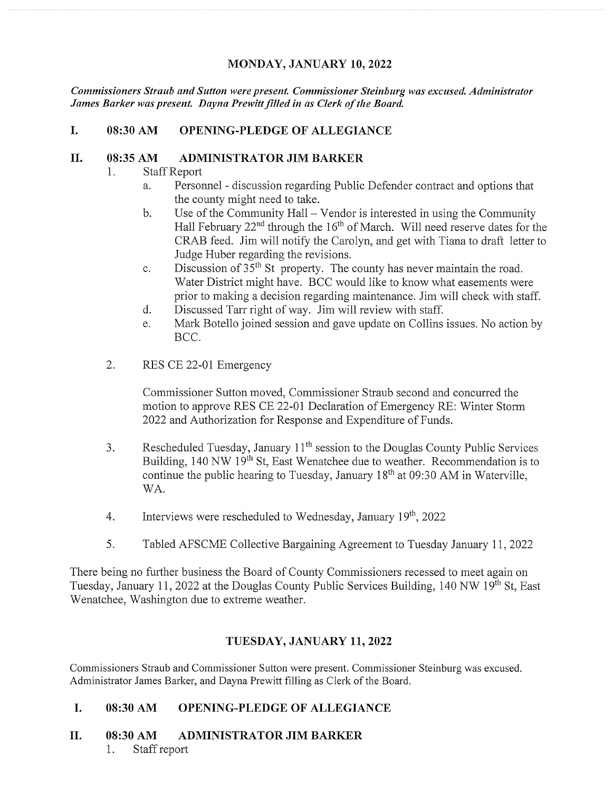#### MONDAY, JANUARY 10, 2022

Commissioners Straub and Sutton were present. Commissioner Steinburg was excused. Administrator James Barker was present. Dayna Prewitt filled in as Clerk of the Board.

#### I. 08:30 AM OPENING-PLEDGE OF ALLEGIANCE

#### II. 08:35 AM ADMINISTRATOR JIM BARKER

- 1. Staff Report
	- a. Personnel discussion regarding Public Defender contract and options that the county might need to take.
	- b. Use of the Community Hall Vendor is interested in using the Community Hall February  $22<sup>nd</sup>$  through the  $16<sup>th</sup>$  of March. Will need reserve dates for the CRAB feed. Jim will notify the Carolyn, and get with Tiana to draft letter to Judge Huber regarding the revisions.
	- c. Discussion of  $35<sup>th</sup>$  St property. The county has never maintain the road. Water District might have. BCC would like to know what easements were prior to making <sup>a</sup> decision regarding maintenance. Jim will check with staff.
	- d. Discussed Tarr right of way. Jim will review with staff.
	- e. Mark Botello joined session and gave update on Collins issues. No action by BCC.
- 2. RES CE 22-01 Emergency

Commissioner Sutton moved, Commissioner Straub second and concurred the motion to approve RES CE 22-01 Declaration of Emergency RE: Winter Storm 2022 and Authorization for Response and Expenditure of Funds.

- 3. Rescheduled Tuesday, January 11<sup>th</sup> session to the Douglas County Public Services Building,  $140 \text{ NW } 19^{\text{th}}$  St, East Wenatchee due to weather. Recommendation is to continue the public hearing to Tuesday, January  $18<sup>th</sup>$  at 09:30 AM in Waterville, WA.
- 4. Interviews were rescheduled to Wednesday, January  $19<sup>th</sup>$ , 2022
- 5. Tabled AFSCME Collective Bargaining Agreement to Tuesday January 11, 2022

There being no further business the Board of County Commissioners recessed to meet again on Tuesday, January 11, 2022 at the Douglas County Public Services Building, 140 NW 19<sup>th</sup> St. East Wenatchee, Washington due to extreme weather.

#### TUESDAY, JANUARY 11, 2022

Commissioners Straub and Commissioner Sutton were present. Commissioner Steinburg was excused. Administrator James Barker, and Dayna Prewitt filling as Clerk of the Board.

#### I. 08:30 AM OPENING-PLEDGE OF ALLEGIANCE

#### II. 08:30 AM ADMINISTRATOR JIM BARKER

1. Staff report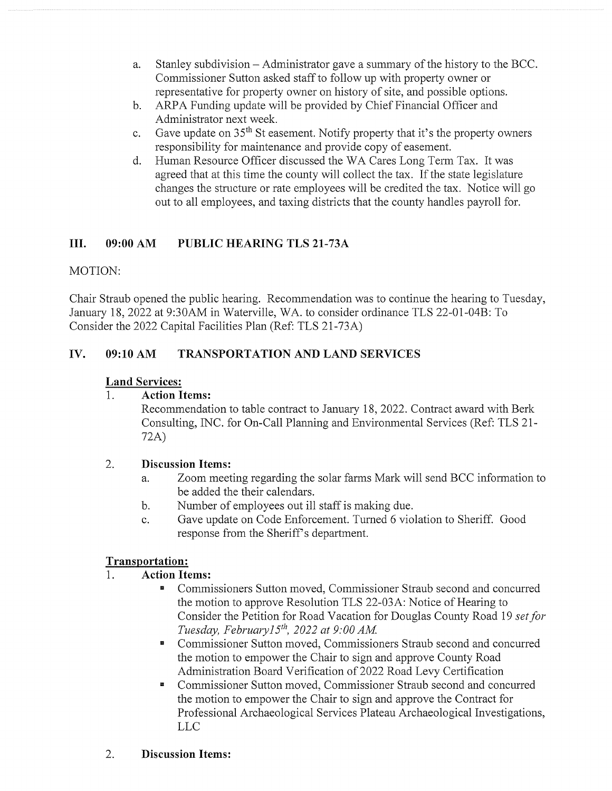- a. Stanley subdivision Administrator gave <sup>a</sup> summary of the history to the BCC. Commissioner Sutton asked staff to follow up with property owner or representative for property owner on history of site, and possible options.
- b. ARPA Funding update will be provided by Chief Financial Officer and Administrator next week.
- c. Gave update on  $35<sup>th</sup>$  St easement. Notify property that it's the property owners responsibility for maintenance and provide copy of easement.
- d. Human Resource Officer discussed the WA Cares Long Term Tax. It was agreed that at this time the county will collect the tax. If the state legislature changes the structure or rate employees will be credited the tax. Notice will go out to all employees, and taxing districts that the county handles payroll for.

# III. 09:00 AM PUBLIC HEARING TLS 21-73A

## MOTION:

Chair Straub opened the public hearing. Recommendation was to continue the hearing to Tuesday, January 18, 2022 at 9:30AM in Waterville, WA. to consider ordinance TLS 22-01-04B: To Consider the 2022 Capital Facilities Plan (Ref: TLS 21-73A)

## IV. 09:10 AM TRANSPORTATION AND LAND SERVICES

## Land Services:

#### 1. Action Items:

Recommendation to table contract to January 18, 2022. Contract award with Berk Consulting, INC. for On-Call Planning and Environmental Services (Ref: TLS 21- 72A)

#### 2. Discussion Items:

- a. Zoom meeting regarding the solar farms Mark will send BCC information to be added the their calendars.
- b. Number of employees out ill staff is making due.
- c. Gave update on Code Enforcement. Turned 6 violation to Sheriff. Good response from the Sheriff's department.

## Transportation:

## 1. Action Items:

- Commissioners Sutton moved, Commissioner Straub second and concurred  $\overline{\phantom{a}}$ the motion to approve Resolution TLS 22-03A: Notice of Hearing to Consider the Petition for Road Vacation for Douglas County Road 19 set for Tuesday, February15<sup>th</sup>, 2022 at 9:00 AM.
- Commissioner Sutton moved, Commissioners Straub second and concurred  $\blacksquare$ the motion to empower the Chair to sign and approve County Road Administration Board Verification of 2022 Road Levy Certification
- $\overline{\phantom{a}}$ Commissioner Sutton moved, Commissioner Straub second and concurred the motion to empower the Chair to sign and approve the Contract for Professional Archaeological Services Plateau Archaeological Investigations, LLC

#### 2. Discussion Items: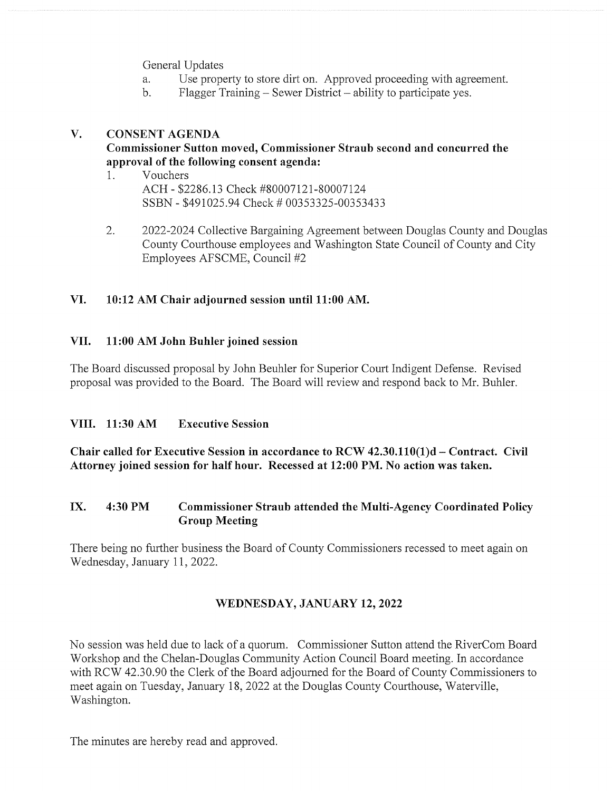General Updates

- a. Use property to store dirt on. Approved proceeding with agreement.
- b. Flagger Training Sewer District ability to participate yes.

## V. CONSENT AGENDA

## Commissioner Sutton moved, Commissioner Straub second and concurred the approval of the following consent agenda:

- 1. Vouchers ACH - \$2286.13 Check #80007121-80007124 SSBN - \$491025.94 Check # 00353325-00353433
- 2. 2022-2024 Collective Bargaining Agreement between Douglas County and Douglas County Courthouse employees and Washington State Council of County and City Employees AFSCME, Council #2

## VI. 10:12 AM Chair adjourned session until 11:00 AM.

#### VII. 11:00AM John Buhier joined session

The Board discussed proposal by John Beuhier for Superior Court Indigent Defense. Revised proposal was provided to the Board. The Board will review and respond back to Mr. Buhier.

## VIII. 11:30 AM Executive Session

Chair called for Executive Session in accordance to  $RCW$  42.30.110(1)d – Contract. Civil Attorney joined session for half hour. Recessed at 12:00 PM. No action was taken.

#### IX. 4:30 PM Commissioner Straub attended the Multi-Agency Coordinated Policy Group Meeting

There being no further business the Board of County Commissioners recessed to meet again on Wednesday, January 11,2022.

## WEDNESDAY, JANUARY 12, 2022

No session was held due to lack of <sup>a</sup> quorum. Commissioner Sutton attend the RiverCom Board Workshop and the Chelan-Douglas Community Action Council Board meeting. In accordance with RCW 42.30.90 the Clerk of the Board adjourned for the Board of County Commissioners to meet again on Tuesday, January 18, 2022 at the Douglas County Courthouse, Waterville, Washington.

The minutes are hereby read and approved.